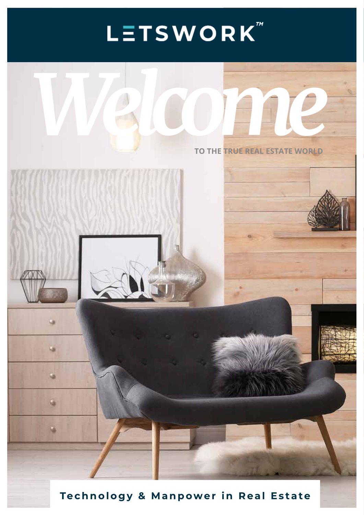# LETSWORK<sup>"</sup>



**Technology & Manpower in Real Estate**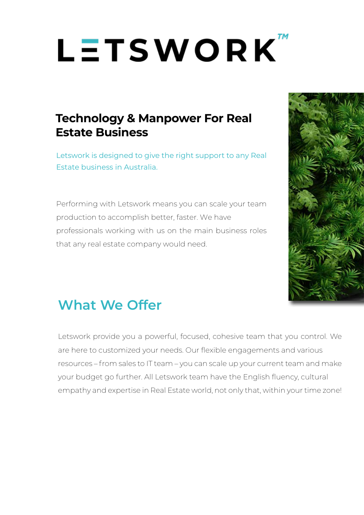# LETSWORK

## **Technology & Manpower For Real Estate Business**

Letswork is designed to give the right support to any Real Estate business in Australia.

Performing with Letswork means you can scale your team production to accomplish better, faster. We have professionals working with us on the main business roles that any real estate company would need.



# **What We Offer**

Letswork provide you a powerful, focused, cohesive team that you control. We are here to customized your needs. Our flexible engagements and various resources – from sales to IT team – you can scale up your current team and make your budget go further. All Letswork team have the English fluency, cultural empathy and expertise in Real Estate world, not only that, within your time zone!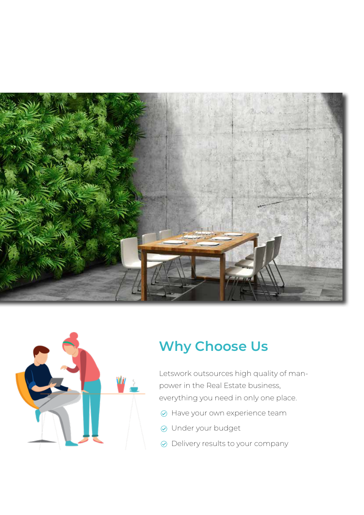



# **Why Choose Us**

Letswork outsources high quality of manpower in the Real Estate business, everything you need in only one place.

- $\odot$  Have your own experience team
- Under your budget
- Delivery results to your company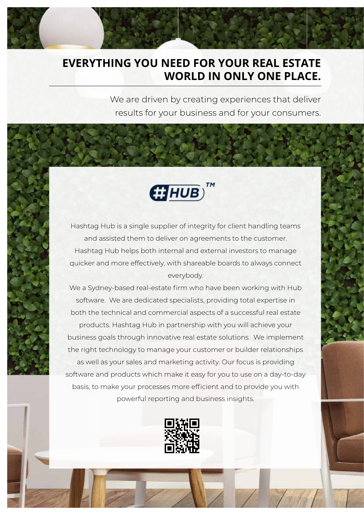### **EVERYTHING YOU NEED FOR YOUR REAL ESTATE WORLD IN ONLY ONE PLACE.**

We are driven by creating experiences that deliver results for your business and for your consumers.



Hashtag Hub is a single supplier of integrity for client handling teams and assisted them to deliver on agreements to the customer. Hashtag Hub helps both internal and external investors to manage quicker and more effectively, with shareable boards to always connect everybody.

We a Sydney-based real-estate firm who have been working with Hub software. We are dedicated specialists, providing total expertise in both the technical and commercial aspects of a successful real estate products. Hashtag Hub in partnership with you will achieve your business goals through innovative real estate solutions. We implement the right technology to manage your customer or builder relationships as well as your sales and marketing activity. Our focus is providing software and products which make it easy for you to use on a day-to-day basis, to make your processes more efficient and to provide you with powerful reporting and business insights.

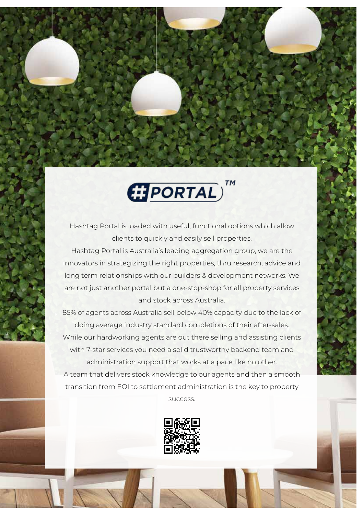

Hashtag Portal is loaded with useful, functional options which allow clients to quickly and easily sell properties.

Hashtag Portal is Australia's leading aggregation group, we are the innovators in strategizing the right properties, thru research, advice and long term relationships with our builders & development networks. We are not just another portal but a one-stop-shop for all property services and stock across Australia.

85% of agents across Australia sell below 40% capacity due to the lack of doing average industry standard completions of their after-sales. While our hardworking agents are out there selling and assisting clients with 7-star services you need a solid trustworthy backend team and administration support that works at a pace like no other. A team that delivers stock knowledge to our agents and then a smooth transition from EOI to settlement administration is the key to property

success.

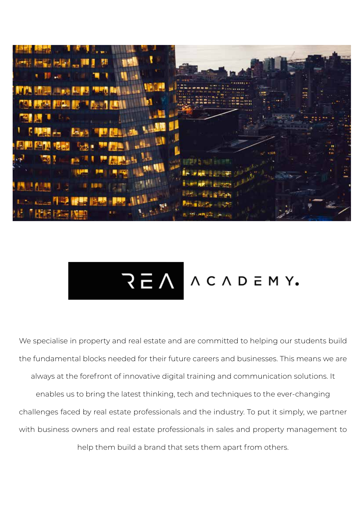

# REA ACADEMY.

We specialise in property and real estate and are committed to helping our students build the fundamental blocks needed for their future careers and businesses. This means we are always at the forefront of innovative digital training and communication solutions. It enables us to bring the latest thinking, tech and techniques to the ever-changing challenges faced by real estate professionals and the industry. To put it simply, we partner with business owners and real estate professionals in sales and property management to help them build a brand that sets them apart from others.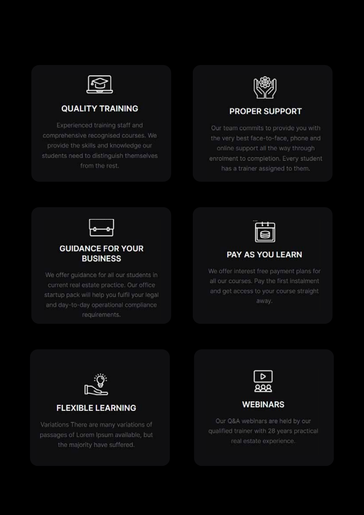

#### **QUALITY TRAINING**

Experienced training staff and comprehensive recognised courses. We provide the skills and knowledge our students need to distinguish themselves from the rest.



#### **PROPER SUPPORT**

Our team commits to provide you with the very best face-to-face, phone and online support all the way through enrolment to completion. Every student has a trainer assigned to them.



#### **GUIDANCE FOR YOUR BUSINESS**

We offer guidance for all our students in current real estate practice. Our office startup pack will help you fulfil your legal and day-to-day operational compliance requirements.



#### PAY AS YOU LEARN

We offer interest free payment plans for all our courses. Pay the first instalment and get access to your course straight away.



#### **FLEXIBLE LEARNING**

Variations There are many variations of passages of Lorem Ipsum available, but the majority have suffered.



#### **WEBINARS**

Our Q&A webinars are held by our qualified trainer with 28 years practical real estate experience.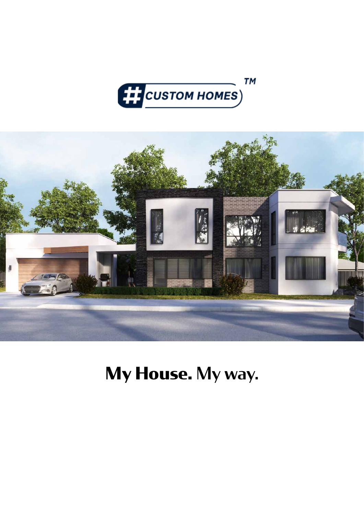



**My House.** My way.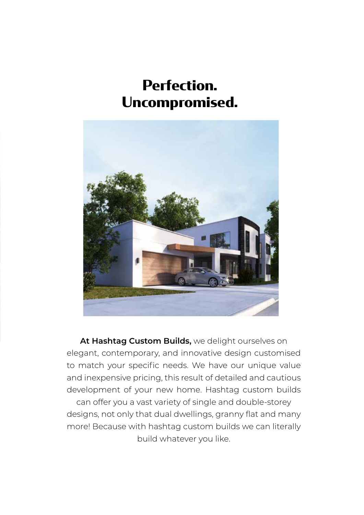# **Perfection. Uncompromised.**



**At Hashtag Custom Builds,** we delight ourselves on elegant, contemporary, and innovative design customised to match your specific needs. We have our unique value and inexpensive pricing, this result of detailed and cautious development of your new home. Hashtag custom builds can offer you a vast variety of single and double-storey designs, not only that dual dwellings, granny flat and many more! Because with hashtag custom builds we can literally

build whatever you like.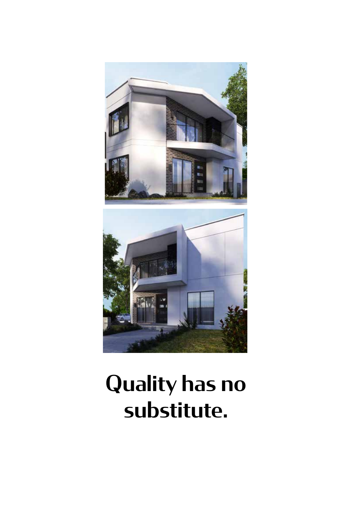

# Quality has no substitute.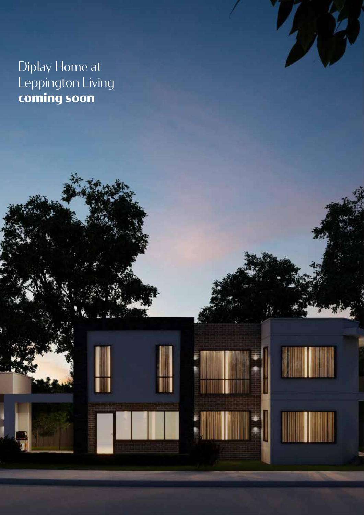Diplay Home at Leppington Living **coming soon**